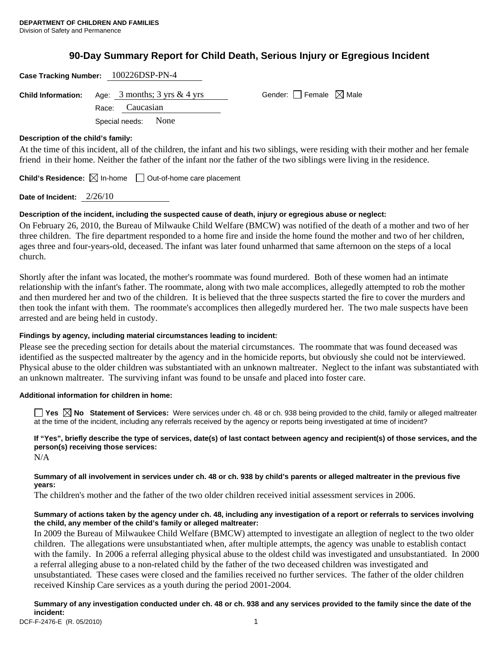# **90-Day Summary Report for Child Death, Serious Injury or Egregious Incident**

| Case Tracking Number: 100226DSP-PN-4                                                           |                                        |
|------------------------------------------------------------------------------------------------|----------------------------------------|
| <b>Child Information:</b> Age: $3$ months; $3 \text{ yrs} \& 4 \text{ yrs}$<br>Race: Caucasian | Gender: $\Box$ Female $\boxtimes$ Male |
| Special needs: None                                                                            |                                        |

## **Description of the child's family:**

At the time of this incident, all of the children, the infant and his two siblings, were residing with their mother and her female friend in their home. Neither the father of the infant nor the father of the two siblings were living in the residence.

**Child's Residence:**  $\boxtimes$  In-home  $\Box$  Out-of-home care placement

**Date of Incident:** 2/26/10

# **Description of the incident, including the suspected cause of death, injury or egregious abuse or neglect:**

On February 26, 2010, the Bureau of Milwauke Child Welfare (BMCW) was notified of the death of a mother and two of her three children. The fire department responded to a home fire and inside the home found the mother and two of her children, ages three and four-years-old, deceased. The infant was later found unharmed that same afternoon on the steps of a local church.

Shortly after the infant was located, the mother's roommate was found murdered. Both of these women had an intimate relationship with the infant's father. The roommate, along with two male accomplices, allegedly attempted to rob the mother and then murdered her and two of the children. It is believed that the three suspects started the fire to cover the murders and then took the infant with them. The roommate's accomplices then allegedly murdered her. The two male suspects have been arrested and are being held in custody.

# **Findings by agency, including material circumstances leading to incident:**

Please see the preceding section for details about the material circumstances. The roommate that was found deceased was identified as the suspected maltreater by the agency and in the homicide reports, but obviously she could not be interviewed. Physical abuse to the older children was substantiated with an unknown maltreater. Neglect to the infant was substantiated with an unknown maltreater. The surviving infant was found to be unsafe and placed into foster care.

# **Additional information for children in home:**

■ Yes **No** Statement of Services: Were services under ch. 48 or ch. 938 being provided to the child, family or alleged maltreater at the time of the incident, including any referrals received by the agency or reports being investigated at time of incident?

**If "Yes", briefly describe the type of services, date(s) of last contact between agency and recipient(s) of those services, and the person(s) receiving those services:**  N/A

**Summary of all involvement in services under ch. 48 or ch. 938 by child's parents or alleged maltreater in the previous five years:** 

The children's mother and the father of the two older children received initial assessment services in 2006.

#### **Summary of actions taken by the agency under ch. 48, including any investigation of a report or referrals to services involving the child, any member of the child's family or alleged maltreater:**

In 2009 the Bureau of Milwaukee Child Welfare (BMCW) attempted to investigate an allegtion of neglect to the two older children. The allegations were unsubstantiated when, after multiple attempts, the agency was unable to establish contact with the family. In 2006 a referral alleging physical abuse to the oldest child was investigated and unsubstantiated. In 2000 a referral alleging abuse to a non-related child by the father of the two deceased children was investigated and unsubstantiated. These cases were closed and the families received no further services. The father of the older children received Kinship Care services as a youth during the period 2001-2004.

DCF-F-2476-E (R. 05/2010) 1 **Summary of any investigation conducted under ch. 48 or ch. 938 and any services provided to the family since the date of the incident:**